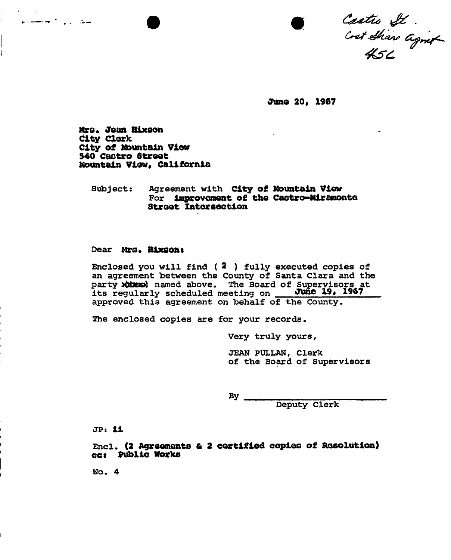Castro St .<br>Cost Share agnot

June 20, 1967

Mro. Jean Bixson city Clerk City of Mountain View 540 Castro Street Mountain View, California

مكاري أنولستير

## Subject: Agreement with City of Mountain View For improvement of the Castro-Miramonto Street Intersection

#### Dear Mrs. Bixson:

Enclosed you will find ( 2 ) fully executed copies of an agreement between the County of Santa Clara and the party *itses* named above. The Board of Supervisors at its regularly scheduled meeting on June 19, 1967 approved this agreement on behalf of the County.

The enclosed copies are for your records.

Very truly yours,

JEAN PULLAN, Clerk of the Board of Supervisors

 $By$ 

Deputy Clerk

JP: ii

Encl. (2 Agreements & 2 certified copies of Resolution) cc» public Works

No. 4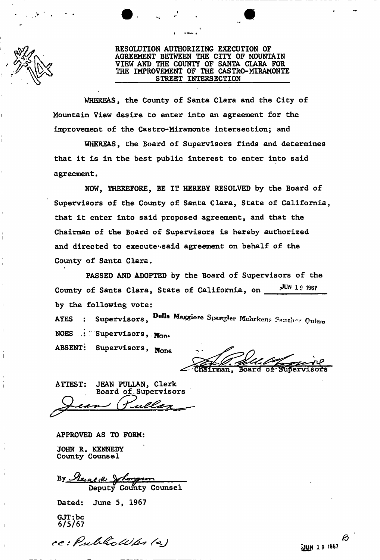

## **RESOLUTION AUTHORIZING EXECUTION OF AGREEMENT BETWEEN THE CITY OF MOUNTAIN VIEW AND. THE COUNTY OF SANTA CLARA FOR THE IMPROVEMENT OF THE CASTRO-MIRAMONTE STREET INTERSECTION**

**WHEREAS, the County of Santa Clara and the City of Mountain View desire to enter into an agreement for the improvement of the Castro-Miramonte intersection; and** 

**WHEREAS, the Board of Supervisors finds and determines that it is in the best public interest to enter into said agreement •** 

**NOW, THEREFORE, BE IT HEREBY RESOLVED by the Board of Supervisors of the County of Santa Clara, State of California, that it enter into said proposed agreement, and that the Chairman of the Board of Supervisors is hereby authorized and directed to executessaid agreement on behalf of the County of Santa Clara.** 

**PASSED AND ADOPTED by the Board of Supervisors of the**  County of Santa Clara, State of California, on **JUN 1 9 19g7 by the following vote:** 

**AYES** : Supervisors, Della Maggiore Spangler Mchrkens Saucher Quinn NOES : Supervisors,  $\mathbf{M}_{\text{OD}}$ 

ABSENT: Supervisors, None

Chairman. **Roard** of

**ATTEST: JEAN PULLAN, Clerk Board of.Supervisors** 

**APPROVED AS TO FORM: JOHN R. KENNEDY County Counsel** 

**Deputy County Counsel** 

Dated: June 5, 1967

**GJT:be**  6/5/67

ce: Public Wps (2)

ß **JUN 19 1967**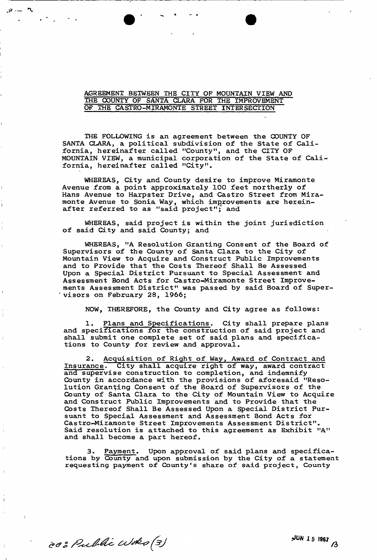## **AGREEMENT BETWEEN THE CITY OF MOUNTAIN VIEW AND THE COUNTY OF SANTA CLARA FOR THE IMPROVEMENT OF THE CASTRO-MIRAMONTE STREET INTERSECTION**

 $\mathcal{F}$  and  $\mathcal{F}$ 

**THE FOLLOWING is an agreement between the COUNTY OF SANTA CLARA, a political subdivision of the State of California, hereinafter called "County", and the CITY OF MOUNTAIN VIEW, a municipal corporation of the State of California, hereinafter called "City".** 

**WHEREAS, City and County desire to improve Miramonte Avenue from a point approximately 100 feet northerly of Hans Avenue to Harpster Drive, and Castro Street from Miramonte Avenue to Sonia Way, which improvements are hereinafter referred to as "said project"; and** 

**WHEREAS, said project is within the joint jurisdiction of said City and said County; and** 

**WHEREAS, "A Resolution Granting Consent of the Board of Supervisors of the County of Santa Clara to the City of Mountain View to Acquire and Construct Public Improvements and to Provide that the Costs Thereof Shall Be Assessed Upon a Special District Pursuant to Special Assessment and Assessment Bond Acts for Castro-Miramonte Street Improvements Assessment District" was passed by said Board of Supervisors on February 28, 1966;** 

**NOW, THEREFORE, the County and City agree as follows:** 

**1. Plans and Specifications. City shall prepare plans and specifications for the construction of said project and shall submit one complete set of said plans and specifications to County for review and approval.** 

**2. Acquisition of Right of Way, Award of Contract and Insurance. City shall acquire right of way, award contract and supervise construction to completion, and indemnify County in accordance with the provisions of aforesaid "Resolution Granting Consent of the Board of Supervisors of the County of Santa Clara to the City of Mountain View to Acquire and Construct Public Improvements and to Provide that the Costs Thereof Shall Be Assessed Upon a Special District Pursuant to Special Assessment and Assessment Bond Acts for Castro-Miramonte Street Improvements Assessment District". Said resolution is attached to this agreement as Exhibit "A" and shall become a part hereof.** 

Payment. Upon approval of said plans and specifica**tions by County and upon submission by the City of a statement requesting payment of County's share of said project, County** 

cc: Public Woto (3)

**JUN** *1 s* **lag;**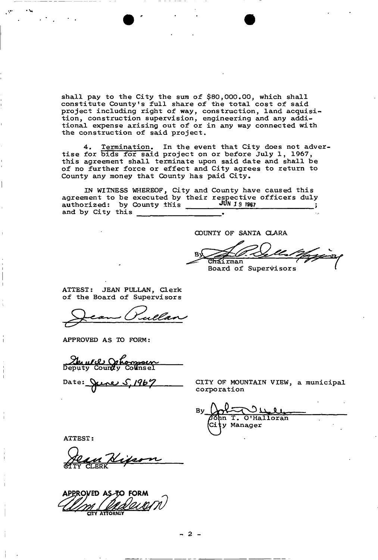**shall pay to the City the sura of \$80,000.00, which shall constitute County's full share of the total cost of said project including right of way, construction, land acquisition, construction supervision, engineering and any additional expense arising out of or in any way connected with the construction of said project.** 

**4. Termination. In the event that City does not advertise for bids for said project on or before July 1, 1967, this agreement shall terminate upon said date and shall be of no further force or effect and City agrees to return to County any money that County has paid City.** 

**IN WITNESS WHEREOF, City and County have caused this agreement to be executed by their respective officers duly**  authorized: by County this **JUN 19 1967** ; , **and by City this .** 

**COUNTY OF SANTA CLARA** 

<del>Ch</del>áirman Board of Supervisors

**ATTEST: JEAN PULLAN, Clerk of the Board of Supervisors** 

**APPROVED AS TO FORM:** 

urd Orbonzoen<br>y County Colinsel Deputy

<u>rne S, 1967</u> Date: \

**CITY OF MOUNTAIN VIEW, a municipal corporation** 

**/TQhn T. O'Halloran Cixy Manager LWJ U** 

**ATTEST:** 

APPROVED AS TO FORM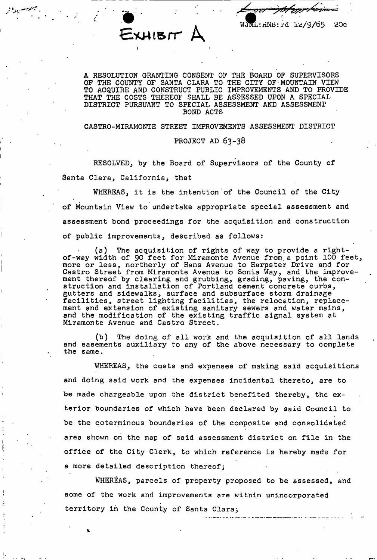$E$ XHIB $H$   $\mu$ 

**wft,: riNh: rd lfc/9/65 20c** 

**^ejj^.ygy • ••** 

A RESOLUTION GRANTING CONSENT OF THE BOARD OF SUPERVISORS OF THE COUNTY OF SANTA CLARA TO THE CITY OF MOUNTAIN VIEW TO ACQUIRE AND CONSTRUCT PUBLIC IMPROVEMENTS AND TO PROVIDE THAT THE COSTS THEREOF SHALL BE ASSESSED UPON A SPECIAL DISTRICT PURSUANT TO SPECIAL ASSESSMENT AND ASSESSMENT BOND ACTS

CASTRO-MIRAMONTE STREET IMPROVEMENTS ASSESSMENT DISTRICT

### PROJECT AD 63-38

RESOLVED, by the Board of Supervisors of the County of Santa Clara, California, that

WHEREAS, it is the intention of the Council of the City of Mountain View to undertake appropriate special assessment and assessment bond proceedings for the acquisition and construction of public improvements, described as follows:

(a) The acquisition of rights of way to provide a rightof-way width of 90 feet for Miramonte Avenue from.a point 100 feet, more or less, northerly of Hans Avenue to Harpster Drive and for Castro Street from Miramonte Avenue to Sonia Way, and the improvement thereof by clearing and grubbing, grading, paving, the construction and installation of Portland cement concrete curbs, gutters and sidewalks, surface and subsurface storm drainage facilities, street lighting facilities, the relocation, replacement and extension of existing sanitary sewers and water mains, and the modification of the existing traffic signal system at Miramonte Avenue and Castro Street.

(b) The doing of all work and the acquisition of all lands and easements auxiliary to any of the above necessary to complete the same.

WHEREAS, the costs and expenses of making said acquisitions and doing said work and the expenses incidental thereto, are to be made chargeable upon the district benefited thereby, the exterior boundaries of which have been declared by said Council to be the coterminous boundaries of the composite and consolidated area shown on the map of said assessment district on file in the office of the City Clerk, to which reference is hereby made for a more detailed description thereof;

WHEREAS, parcels of property proposed to be assessed, and some of the work and improvements are within unincorporated territory in the County of Santa Clara;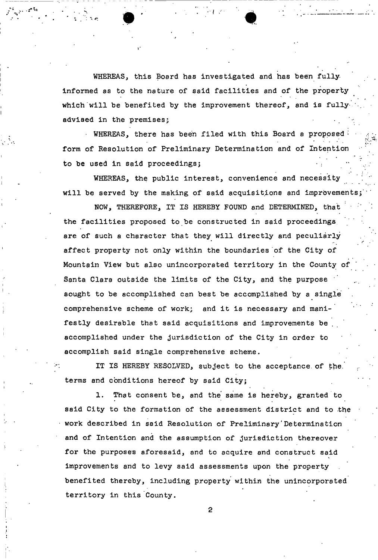WHEREAS, this Board has investigated and has been fullyinformed as to the nature of said facilities and of the property which will be benefited by the improvement thereof, and is fullyadvised in the premises;

• WHEREAS, there has been filed with this Board a proposed form of Resolution of Preliminary Determination and of Intention to be used in said proceedings;

WHEREAS, the public interest, convenience and necessity will be served by the making of said acquisitions and improvements

NOW, THEREFORE, IT IS HEREBY FOUND and DETERMINED, that ' the facilities proposed to be constructed in said proceedings, are of such a character that they will directly and peculiarly affect property not only within the boundaries of the City of Mountain View but also unincorporated territory in the County of Santa Clara outside the limits of the City, and the purpose sought to be accomplished can best be accomplished by a single comprehensive scheme of work; and it is necessary and manifestly desirable that said acquisitions and improvements be accomplished under the jurisdiction of the City in order to accomplish said single comprehensive scheme.

IT IS HEREBY RESOLVED, subject to the acceptance of the. terms and conditions hereof by said City;

1. That consent be, and the' same is hereby, granted to said City to the formation of the assessment district and to the work described in said Resolution of Preliminary'Determination and of Intention and the assumption of jurisdiction thereover for the purposes aforesaid, and to acquire and construct said improvements and to levy said assessments upon the property benefited thereby, including property within the unincorporated territory in this County.

 $\overline{2}$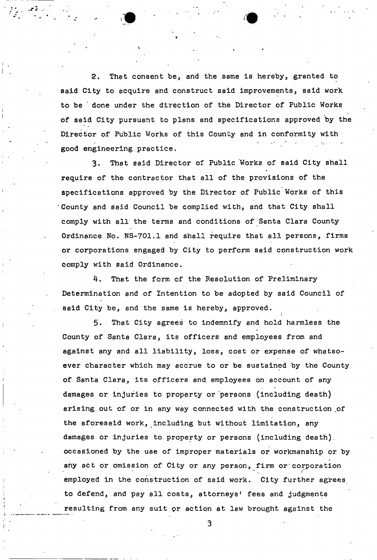2. That consent be, and the same is hereby, granted to said City to acquire and construct said improvements, said work to be ' done under the direction of the Director of Public Works of said City pursuant to plans and specifications approved by the Director of Public Works of this County and in conformity with good engineering practice.

3. That said Director of Public Works of said City shall require of the contractor that all of the provisions of the specifications approved by the Director of Public Works of this County and said Council be complied with, and that City shall comply with all the terms and conditions of Santa Clara County Ordinance No. NS-701.1 and shall require that all persons, firms or corporations engaged by City to perform said construction work comply with said Ordinance.

4. That the form of the Resolution of Preliminary Determination and of Intention to be adopted by said Council of said City be, and the same is hereby, approved.

5. That City agrees to indemnify and hold harmless the County of Santa Clara, its officers and employees from and against any and all liability, loss, cost or expense of whatsoever character which may accrue to or be sustained by the County of Santa Clara, its officers and employees on account of any damages or injuries to property or persons (including death) arising out of or in any way connected with the construction of the aforesaid work, including but without limitation, any damages or injuries to property or persons (including death), occasioned by the use of improper materials or workmanship or by any act or omission of City or any person, firm or corporation employed in the construction of said work. City further agrees to defend, and pay all costs, attorneys' fees and judgments resulting from any suit pr action at law brought against the

 $\mathbf{3}$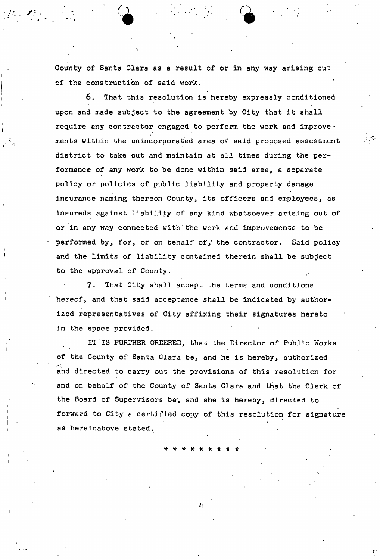County of Santa Clara as a result of or in any way arising out of the construction of said work.

**CL CL**  $\mathbf{C}$  and  $\mathbf{C}$  and  $\mathbf{C}$  and  $\mathbf{C}$ 

6. That this resolution is hereby expressly conditioned upon and made subject to the agreement by City that it shall require any contractor engaged to perform the work.and improvements within the unincorporated area of said proposed assessment district to take out and maintain at all times during the performance of any work to be done within said area, a separate policy or policies of public liability and property damage insurance naming thereon County, its officers and employees, as insureds against liability of any kind whatsoever arising out of or in .any way connected with'the work and improvements to be performed by, for, or on behalf of,' the contractor. Said policy and the limits of liability contained therein shall be subject to the approval of County.

7. That City shall accept the terms and conditions hereof, and that said acceptance shall be indicated by authorized representatives of City affixing their signatures hereto in the space provided.

IT IS FURTHER ORDERED, that the Director of Public Works of the County of Santa Clara be, and he is hereby, authorized and directed to carry out the provisions of this resolution for and on behalf of the County of Santa Clara and that the Clerk of the Board of Supervisors be, and she is hereby, directed to forward to City a certified copy of this resolution for signature i as hereinabove stated.

\*\*\*\*\*\*\*\* \*

**4**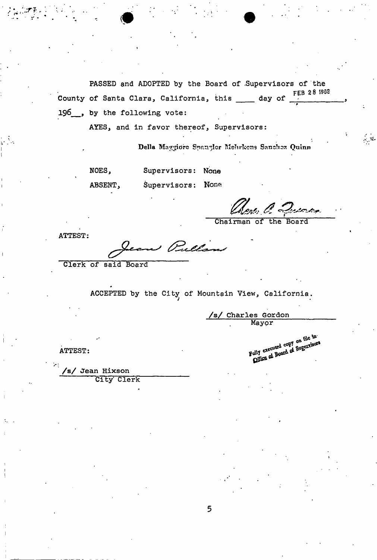PASSED and ADOPTED by the Board of .Supervisors of the **FEB 2 8 1935**  County of Santa Clara, California, this  $\rule{1em}{0.15mm}$  day of  $\rule{1.15mm}{0.15mm}$ 196<sub>,</sub> by the following vote:

AYES, and in favor thereof, Supervisors:

Della Maggiore Spangler Mehrkens Sanchez Quinn

NOES, Supervisors: None

ABSENT, Supervisors: None

Chene, O. Querrer

*,9* 

ATTEST:

w Pullin

Clerk of said Board

ACCEPTED by the City of Mountain View, California. *j* 

*/s/* **Charles Gordon**  Mayor

**/s/ Jean Hixson**  City Clerk

ATTEST:<br>
ATTEST:<br>
Fully executed copy on file in

**5**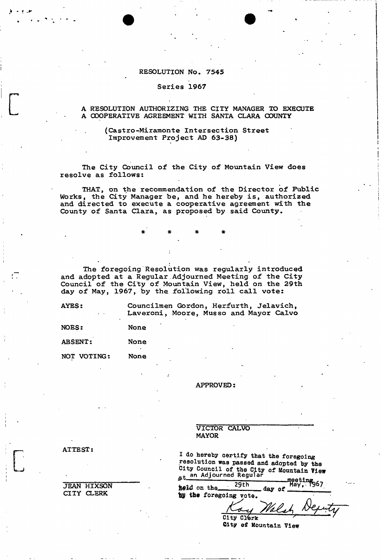# **RESOLUTION No. 7545**

## **Series 1967**

### **A RESOLUTION AUTHORIZING THE CITY MANAGER TO EXECUTE A COOPERATIVE AGREEMENT WITH SANTA CLARA COUNTY**

### **(Castro-Miramonte Intersection Street Improvement Project AD 63-38)**

**The City Council of the City of Mountain View does resolve as follows:** 

**THAT, on the recommendation of the Director of Public Works, the City Manager be, and he hereby is, authorized and directed to execute a cooperative agreement with the County of Santa Clara, as proposed by said County•** 

**The foregoing Resolution was regularly introduced and adopted at a Regular Adjourned Meeting of the City Council of the City of Mountain View, held on the 29th day of May, 1967, by the following roll call vote:** 

\* \* \*

**AYES: Councilmen Gordon, Herfurth, Jelavich, Laveroni, Moore, Musso and Mayor Calvo** 

**NOES: None**  ABSENT: None **NOT VOTING: None** 

**APPROVED:** 

**VICTOR CALVO MAYOR** 

I do hereby certify that the foregoing resolution was passed and adopted by the City Council of the City of Mountain View at an Adjourned Regular  $matching$ 

| held on the            | 29th       | day of | iy: 1967 |  |
|------------------------|------------|--------|----------|--|
| by the foregoing vote. |            |        |          |  |
|                        |            | Walsh  |          |  |
|                        | City Clerk |        |          |  |

City **of** Mountain View

**ATTEST** 

**JEAN HIXSON CITY CLERK**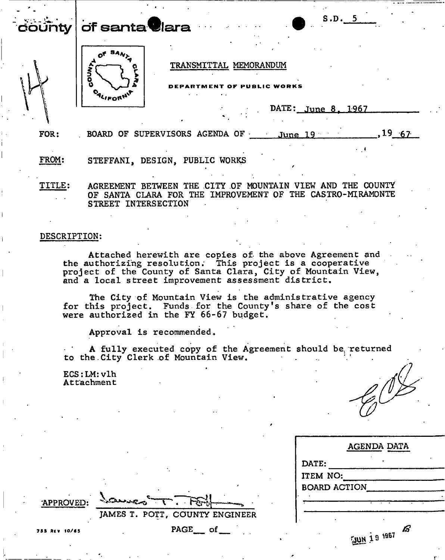county **of santa Clar <sup>a</sup>**



 $,19,67$ 



TRANSMITTAL MEMORANDUM

PUBLIC WORKS

DATE: June 8, 1967

FOR:

FROM: STEFFANI, DESIGN, PUBLIC WORKS

TITLE: AGREEMENT BETWEEN THE CITY OF MOUNTAIN VIEW AND THE COUNTY OF SANTA CLARA FOR THE IMPROVEMENT OF THE CASTRO-MIRAMONTE STREET INTERSECTION

BOARD OF SUPERVISORS AGENDA OF June 19

### DESCRIPTION:

Attached herewith are copies of the above Agreement and the authorizing resolution; This project is a cooperative project of the County of Santa Clara, City of Mountain View, and a local street improvement assessment district.

The City of Mountain View is the administrative agency for this project. Funds for the County's share of the cost were authorized in the FY 66-67 budget.

Approval is recommended.

A fully executed copy of the Agreement should be. returned to the.City Clerk of Mountain View.

ECS:LM:vlh Attachment

**SALARE** 

| AGENDA DATA               |
|---------------------------|
| DATE:                     |
| <b>ITEM NO:</b>           |
| <b>BOARD ACTION</b>       |
|                           |
|                           |
| ſs'<br><b>THEY BY THE</b> |

**'APPROVED:** 

**PAGE of** 

**JAMES T. POTT, COUNTY ENGINEER** 

7B5 RKV 10/63